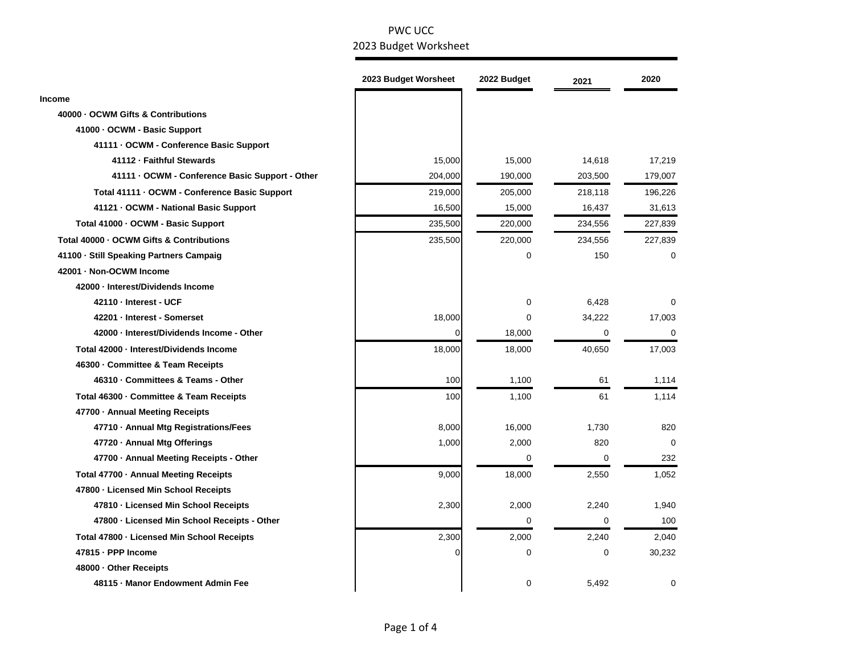|                                                 | 2023 Budget Worsheet | 2022 Budget | 2021        | 2020        |
|-------------------------------------------------|----------------------|-------------|-------------|-------------|
| <b>Income</b>                                   |                      |             |             |             |
| 40000 - OCWM Gifts & Contributions              |                      |             |             |             |
| 41000 - OCWM - Basic Support                    |                      |             |             |             |
| 41111 - OCWM - Conference Basic Support         |                      |             |             |             |
| 41112 - Faithful Stewards                       | 15,000               | 15,000      | 14,618      | 17,219      |
| 41111 - OCWM - Conference Basic Support - Other | 204,000              | 190,000     | 203,500     | 179,007     |
| Total 41111 - OCWM - Conference Basic Support   | 219,000              | 205,000     | 218,118     | 196,226     |
| 41121 - OCWM - National Basic Support           | 16,500               | 15,000      | 16,437      | 31,613      |
| Total 41000 - OCWM - Basic Support              | 235,500              | 220,000     | 234,556     | 227,839     |
| Total 40000 - OCWM Gifts & Contributions        | 235,500              | 220,000     | 234,556     | 227,839     |
| 41100 · Still Speaking Partners Campaig         |                      | $\mathbf 0$ | 150         | 0           |
| 42001 - Non-OCWM Income                         |                      |             |             |             |
| 42000 · Interest/Dividends Income               |                      |             |             |             |
| 42110 - Interest - UCF                          |                      | 0           | 6,428       | 0           |
| 42201 - Interest - Somerset                     | 18,000               | 0           | 34,222      | 17,003      |
| 42000 - Interest/Dividends Income - Other       | 0                    | 18,000      | 0           | $\mathbf 0$ |
| Total 42000 - Interest/Dividends Income         | 18,000               | 18,000      | 40,650      | 17,003      |
| 46300 · Committee & Team Receipts               |                      |             |             |             |
| 46310 · Committees & Teams - Other              | 100                  | 1,100       | 61          | 1,114       |
| Total 46300 - Committee & Team Receipts         | 100                  | 1,100       | 61          | 1,114       |
| 47700 - Annual Meeting Receipts                 |                      |             |             |             |
| 47710 · Annual Mtg Registrations/Fees           | 8,000                | 16,000      | 1,730       | 820         |
| 47720 · Annual Mtg Offerings                    | 1,000                | 2,000       | 820         | 0           |
| 47700 - Annual Meeting Receipts - Other         |                      | 0           | 0           | 232         |
| Total 47700 - Annual Meeting Receipts           | 9,000                | 18,000      | 2,550       | 1,052       |
| 47800 - Licensed Min School Receipts            |                      |             |             |             |
| 47810 - Licensed Min School Receipts            | 2,300                | 2,000       | 2,240       | 1,940       |
| 47800 - Licensed Min School Receipts - Other    |                      | 0           | 0           | 100         |
| Total 47800 - Licensed Min School Receipts      | 2,300                | 2,000       | 2,240       | 2,040       |
| 47815 - PPP Income                              | 0                    | $\pmb{0}$   | $\mathbf 0$ | 30,232      |
| 48000 Other Receipts                            |                      |             |             |             |
| 48115 - Manor Endowment Admin Fee               |                      | 0           | 5,492       | $\mathbf 0$ |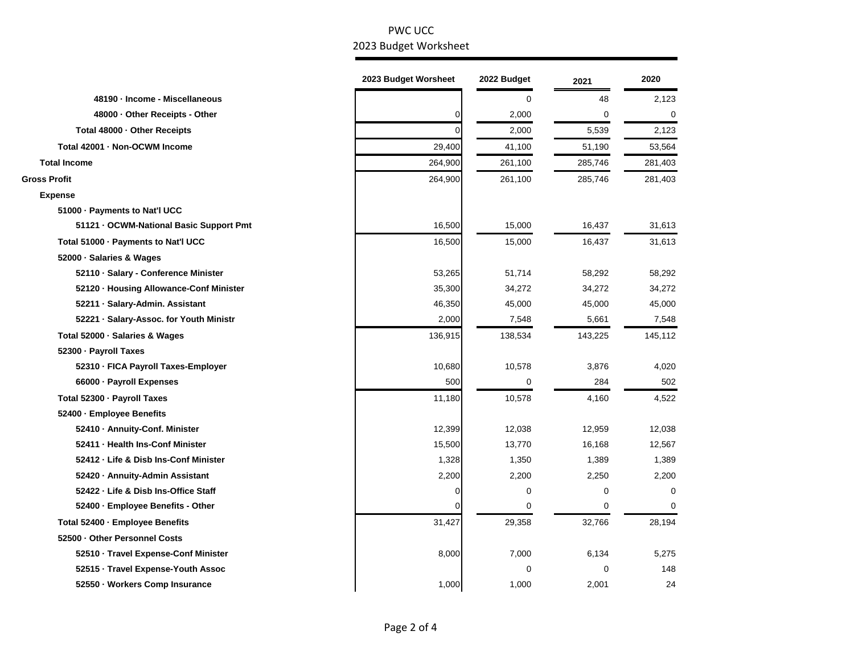|                                         | 2023 Budget Worsheet | 2022 Budget | 2021        | 2020        |
|-----------------------------------------|----------------------|-------------|-------------|-------------|
| 48190 - Income - Miscellaneous          |                      | $\mathbf 0$ | 48          | 2,123       |
| 48000 - Other Receipts - Other          | 0                    | 2,000       | 0           | 0           |
| Total 48000 - Other Receipts            | O                    | 2,000       | 5,539       | 2,123       |
| Total 42001 - Non-OCWM Income           | 29,400               | 41,100      | 51,190      | 53,564      |
| <b>Total Income</b>                     | 264,900              | 261,100     | 285,746     | 281,403     |
| <b>Gross Profit</b>                     | 264,900              | 261,100     | 285,746     | 281,403     |
| <b>Expense</b>                          |                      |             |             |             |
| 51000 - Payments to Nat'l UCC           |                      |             |             |             |
| 51121 - OCWM-National Basic Support Pmt | 16,500               | 15,000      | 16,437      | 31,613      |
| Total 51000 - Payments to Nat'l UCC     | 16,500               | 15,000      | 16,437      | 31,613      |
| 52000 · Salaries & Wages                |                      |             |             |             |
| 52110 · Salary - Conference Minister    | 53,265               | 51,714      | 58,292      | 58,292      |
| 52120 · Housing Allowance-Conf Minister | 35,300               | 34,272      | 34,272      | 34,272      |
| 52211 · Salary-Admin. Assistant         | 46,350               | 45,000      | 45,000      | 45,000      |
| 52221 · Salary-Assoc. for Youth Ministr | 2,000                | 7,548       | 5,661       | 7,548       |
| Total 52000 · Salaries & Wages          | 136,915              | 138,534     | 143,225     | 145,112     |
| 52300 - Payroll Taxes                   |                      |             |             |             |
| 52310 - FICA Payroll Taxes-Employer     | 10,680               | 10,578      | 3,876       | 4,020       |
| 66000 · Payroll Expenses                | 500                  | 0           | 284         | 502         |
| Total 52300 - Payroll Taxes             | 11,180               | 10,578      | 4,160       | 4,522       |
| 52400 · Employee Benefits               |                      |             |             |             |
| 52410 - Annuity-Conf. Minister          | 12,399               | 12,038      | 12,959      | 12,038      |
| 52411 - Health Ins-Conf Minister        | 15,500               | 13,770      | 16,168      | 12,567      |
| 52412 - Life & Disb Ins-Conf Minister   | 1,328                | 1,350       | 1,389       | 1,389       |
| 52420 - Annuity-Admin Assistant         | 2,200                | 2,200       | 2,250       | 2,200       |
| 52422 - Life & Disb Ins-Office Staff    | 0                    | 0           | 0           | $\mathbf 0$ |
| 52400 · Employee Benefits - Other       | $\Omega$             | $\mathbf 0$ | $\mathbf 0$ | $\mathbf 0$ |
| Total 52400 - Employee Benefits         | 31,427               | 29,358      | 32,766      | 28,194      |
| 52500 Other Personnel Costs             |                      |             |             |             |
| 52510 · Travel Expense-Conf Minister    | 8,000                | 7,000       | 6,134       | 5,275       |
| 52515 · Travel Expense-Youth Assoc      |                      | $\mathbf 0$ | $\mathbf 0$ | 148         |
| 52550 · Workers Comp Insurance          | 1,000                | 1,000       | 2,001       | 24          |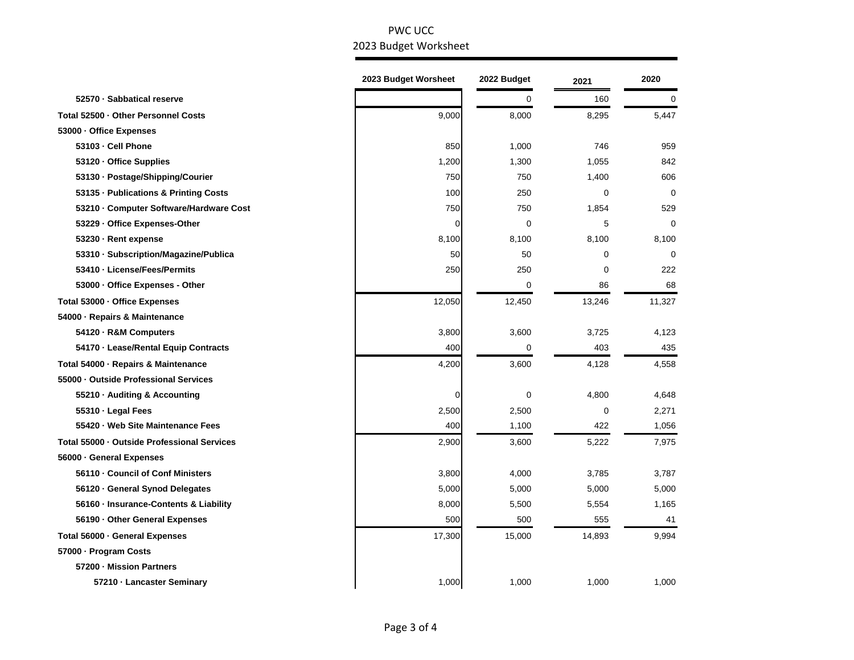| 0<br>160<br>0<br>52570 · Sabbatical reserve<br>Total 52500 - Other Personnel Costs<br>9,000<br>8,000<br>8,295<br>5,447<br>53000 - Office Expenses<br>53103 - Cell Phone<br>959<br>850<br>1,000<br>746<br>1,200<br>1,055<br>842<br>53120 · Office Supplies<br>1,300<br>750<br>750<br>1,400<br>606<br>53130 · Postage/Shipping/Courier<br>100<br>250<br>$\mathbf 0$<br>53135 - Publications & Printing Costs<br>$\Omega$<br>53210 - Computer Software/Hardware Cost<br>750<br>750<br>1,854<br>529 |
|-------------------------------------------------------------------------------------------------------------------------------------------------------------------------------------------------------------------------------------------------------------------------------------------------------------------------------------------------------------------------------------------------------------------------------------------------------------------------------------------------|
|                                                                                                                                                                                                                                                                                                                                                                                                                                                                                                 |
|                                                                                                                                                                                                                                                                                                                                                                                                                                                                                                 |
|                                                                                                                                                                                                                                                                                                                                                                                                                                                                                                 |
|                                                                                                                                                                                                                                                                                                                                                                                                                                                                                                 |
|                                                                                                                                                                                                                                                                                                                                                                                                                                                                                                 |
|                                                                                                                                                                                                                                                                                                                                                                                                                                                                                                 |
|                                                                                                                                                                                                                                                                                                                                                                                                                                                                                                 |
|                                                                                                                                                                                                                                                                                                                                                                                                                                                                                                 |
| 5<br>$\mathbf 0$<br>53229 - Office Expenses-Other<br>0<br>0                                                                                                                                                                                                                                                                                                                                                                                                                                     |
| 8,100<br>53230 · Rent expense<br>8,100<br>8,100<br>8,100                                                                                                                                                                                                                                                                                                                                                                                                                                        |
| 50<br>$\mathbf 0$<br>53310 · Subscription/Magazine/Publica<br>50<br>0                                                                                                                                                                                                                                                                                                                                                                                                                           |
| 53410 - License/Fees/Permits<br>222<br>250<br>250<br>0                                                                                                                                                                                                                                                                                                                                                                                                                                          |
| $\mathbf 0$<br>86<br>68<br>53000 - Office Expenses - Other                                                                                                                                                                                                                                                                                                                                                                                                                                      |
| Total 53000 - Office Expenses<br>12,050<br>12,450<br>13,246<br>11,327                                                                                                                                                                                                                                                                                                                                                                                                                           |
| 54000 - Repairs & Maintenance                                                                                                                                                                                                                                                                                                                                                                                                                                                                   |
| 3,800<br>3,600<br>3,725<br>4,123<br>54120 · R&M Computers                                                                                                                                                                                                                                                                                                                                                                                                                                       |
| 403<br>435<br>54170 - Lease/Rental Equip Contracts<br>400<br>0                                                                                                                                                                                                                                                                                                                                                                                                                                  |
| 4,200<br>3,600<br>4,128<br>4,558<br>Total 54000 - Repairs & Maintenance                                                                                                                                                                                                                                                                                                                                                                                                                         |
| 55000 Outside Professional Services                                                                                                                                                                                                                                                                                                                                                                                                                                                             |
| 0<br>4,800<br>55210 · Auditing & Accounting<br>0<br>4,648                                                                                                                                                                                                                                                                                                                                                                                                                                       |
| 2,500<br>$\mathbf 0$<br>55310 · Legal Fees<br>2,500<br>2,271                                                                                                                                                                                                                                                                                                                                                                                                                                    |
| 55420 · Web Site Maintenance Fees<br>400<br>422<br>1,100<br>1,056                                                                                                                                                                                                                                                                                                                                                                                                                               |
| Total 55000 - Outside Professional Services<br>2,900<br>5,222<br>3,600<br>7,975                                                                                                                                                                                                                                                                                                                                                                                                                 |
| 56000 · General Expenses                                                                                                                                                                                                                                                                                                                                                                                                                                                                        |
| 56110 - Council of Conf Ministers<br>3,800<br>4,000<br>3,785<br>3,787                                                                                                                                                                                                                                                                                                                                                                                                                           |
| 5,000<br>5,000<br>5,000<br>56120 · General Synod Delegates<br>5,000                                                                                                                                                                                                                                                                                                                                                                                                                             |
| 56160 · Insurance-Contents & Liability<br>8,000<br>5,500<br>5,554<br>1,165                                                                                                                                                                                                                                                                                                                                                                                                                      |
| 500<br>555<br>41<br>56190 Other General Expenses<br>500                                                                                                                                                                                                                                                                                                                                                                                                                                         |
| 17,300<br>Total 56000 · General Expenses<br>15,000<br>14,893<br>9,994                                                                                                                                                                                                                                                                                                                                                                                                                           |
| 57000 · Program Costs                                                                                                                                                                                                                                                                                                                                                                                                                                                                           |
| 57200 - Mission Partners                                                                                                                                                                                                                                                                                                                                                                                                                                                                        |
| 1,000<br>1,000<br>1,000<br>1,000<br>57210 - Lancaster Seminary                                                                                                                                                                                                                                                                                                                                                                                                                                  |